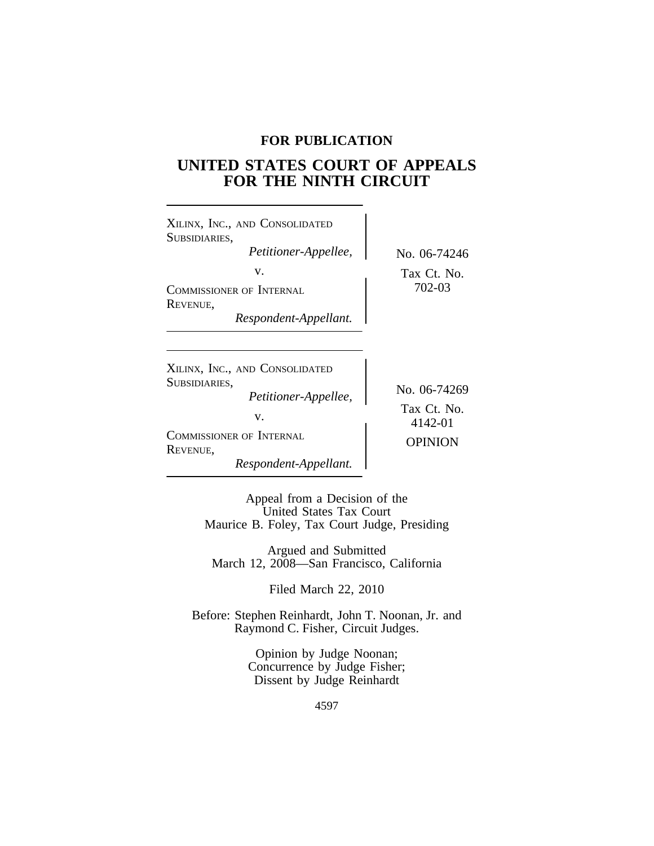# **FOR PUBLICATION**

# **UNITED STATES COURT OF APPEALS FOR THE NINTH CIRCUIT**

| XILINX, INC., AND CONSOLIDATED<br>SUBSIDIARIES,<br>Petitioner-Appellee,<br>v.<br>COMMISSIONER OF INTERNAL<br><b>REVENUE.</b><br>Respondent-Appellant. | No. 06-74246<br>Tax Ct. No.<br>702-03  |
|-------------------------------------------------------------------------------------------------------------------------------------------------------|----------------------------------------|
| XILINX, INC., AND CONSOLIDATED<br>SUBSIDIARIES,<br>Petitioner-Appellee,<br>V.                                                                         | No. 06-74269<br>Tax Ct. No.<br>4142-01 |

<sup>C</sup>OMMISSIONER OF INTERNAL OPINION <sup>R</sup>EVENUE, *Respondent-Appellant.*

Appeal from a Decision of the United States Tax Court Maurice B. Foley, Tax Court Judge, Presiding

Argued and Submitted March 12, 2008—San Francisco, California

Filed March 22, 2010

Before: Stephen Reinhardt, John T. Noonan, Jr. and Raymond C. Fisher, Circuit Judges.

> Opinion by Judge Noonan; Concurrence by Judge Fisher; Dissent by Judge Reinhardt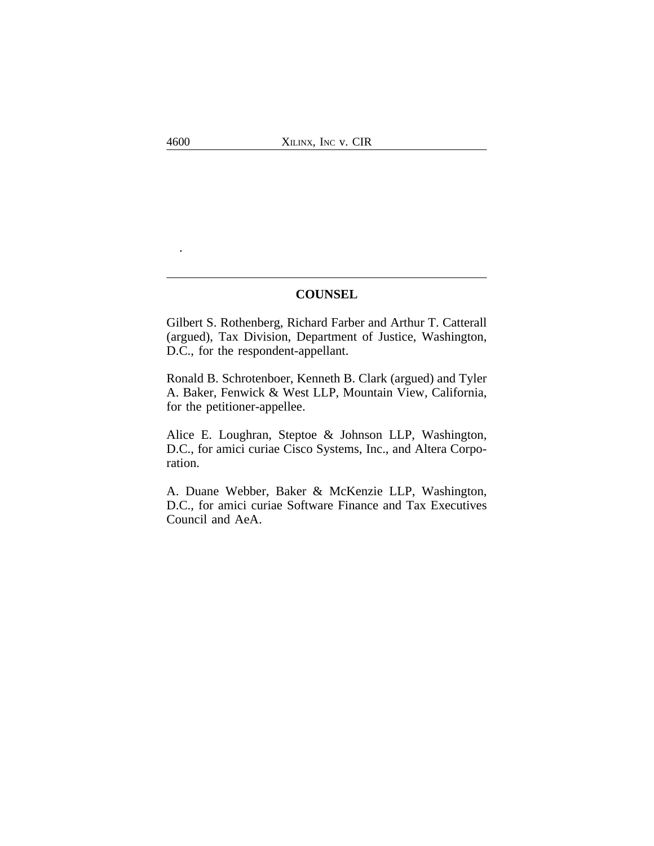## **COUNSEL**

Gilbert S. Rothenberg, Richard Farber and Arthur T. Catterall (argued), Tax Division, Department of Justice, Washington, D.C., for the respondent-appellant.

Ronald B. Schrotenboer, Kenneth B. Clark (argued) and Tyler A. Baker, Fenwick & West LLP, Mountain View, California, for the petitioner-appellee.

Alice E. Loughran, Steptoe & Johnson LLP, Washington, D.C., for amici curiae Cisco Systems, Inc., and Altera Corporation.

A. Duane Webber, Baker & McKenzie LLP, Washington, D.C., for amici curiae Software Finance and Tax Executives Council and AeA.

.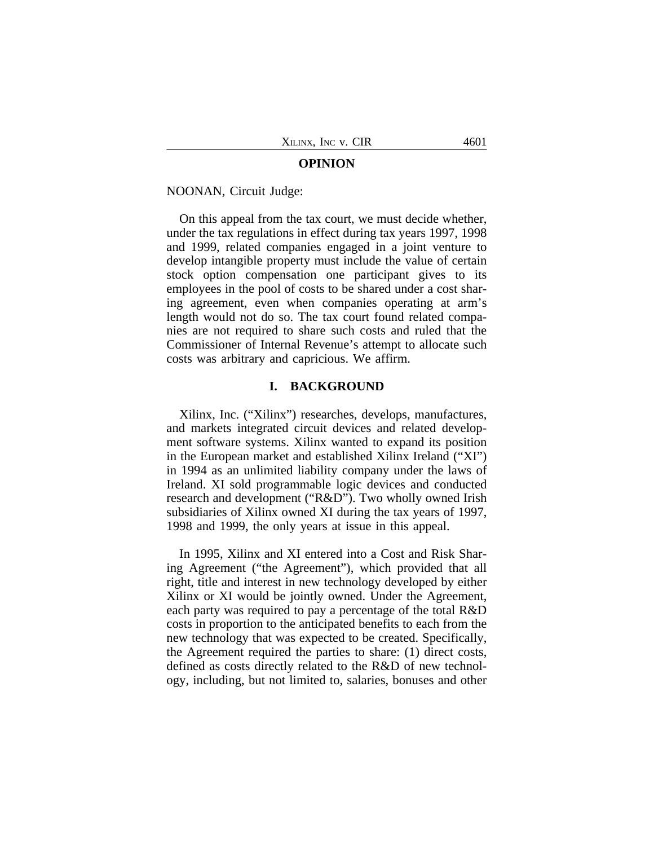### **OPINION**

NOONAN, Circuit Judge:

On this appeal from the tax court, we must decide whether, under the tax regulations in effect during tax years 1997, 1998 and 1999, related companies engaged in a joint venture to develop intangible property must include the value of certain stock option compensation one participant gives to its employees in the pool of costs to be shared under a cost sharing agreement, even when companies operating at arm's length would not do so. The tax court found related companies are not required to share such costs and ruled that the Commissioner of Internal Revenue's attempt to allocate such costs was arbitrary and capricious. We affirm.

## **I. BACKGROUND**

Xilinx, Inc. ("Xilinx") researches, develops, manufactures, and markets integrated circuit devices and related development software systems. Xilinx wanted to expand its position in the European market and established Xilinx Ireland ("XI") in 1994 as an unlimited liability company under the laws of Ireland. XI sold programmable logic devices and conducted research and development ("R&D"). Two wholly owned Irish subsidiaries of Xilinx owned XI during the tax years of 1997, 1998 and 1999, the only years at issue in this appeal.

In 1995, Xilinx and XI entered into a Cost and Risk Sharing Agreement ("the Agreement"), which provided that all right, title and interest in new technology developed by either Xilinx or XI would be jointly owned. Under the Agreement, each party was required to pay a percentage of the total R&D costs in proportion to the anticipated benefits to each from the new technology that was expected to be created. Specifically, the Agreement required the parties to share: (1) direct costs, defined as costs directly related to the R&D of new technology, including, but not limited to, salaries, bonuses and other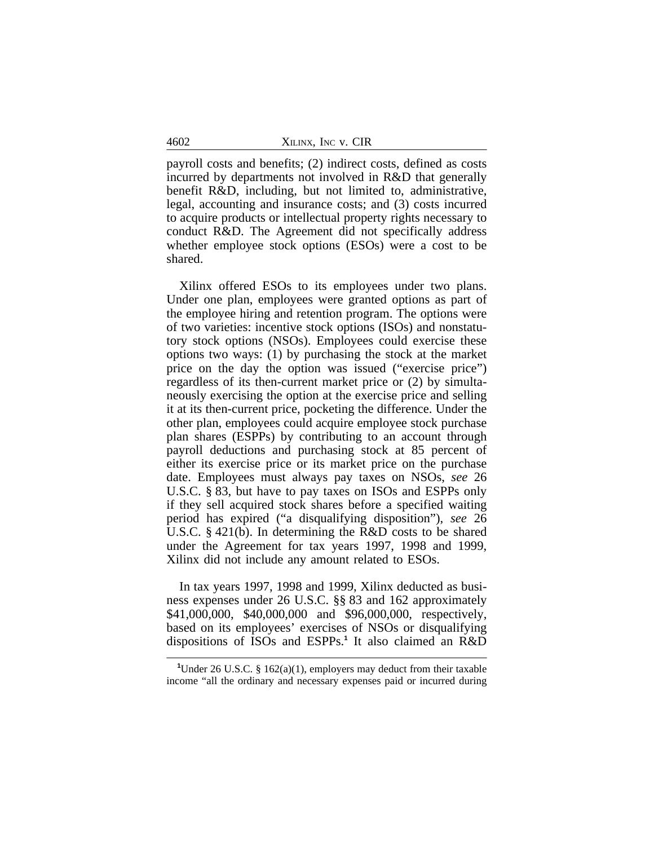4602 XILINX, INC v. CIR

payroll costs and benefits; (2) indirect costs, defined as costs incurred by departments not involved in R&D that generally benefit R&D, including, but not limited to, administrative, legal, accounting and insurance costs; and (3) costs incurred to acquire products or intellectual property rights necessary to conduct R&D. The Agreement did not specifically address whether employee stock options (ESOs) were a cost to be shared.

Xilinx offered ESOs to its employees under two plans. Under one plan, employees were granted options as part of the employee hiring and retention program. The options were of two varieties: incentive stock options (ISOs) and nonstatutory stock options (NSOs). Employees could exercise these options two ways: (1) by purchasing the stock at the market price on the day the option was issued ("exercise price") regardless of its then-current market price or (2) by simultaneously exercising the option at the exercise price and selling it at its then-current price, pocketing the difference. Under the other plan, employees could acquire employee stock purchase plan shares (ESPPs) by contributing to an account through payroll deductions and purchasing stock at 85 percent of either its exercise price or its market price on the purchase date. Employees must always pay taxes on NSOs, *see* 26 U.S.C. § 83, but have to pay taxes on ISOs and ESPPs only if they sell acquired stock shares before a specified waiting period has expired ("a disqualifying disposition"), *see* 26 U.S.C. § 421(b). In determining the R&D costs to be shared under the Agreement for tax years 1997, 1998 and 1999, Xilinx did not include any amount related to ESOs.

In tax years 1997, 1998 and 1999, Xilinx deducted as business expenses under 26 U.S.C. §§ 83 and 162 approximately \$41,000,000, \$40,000,000 and \$96,000,000, respectively, based on its employees' exercises of NSOs or disqualifying dispositions of ISOs and ESPPs.**<sup>1</sup>** It also claimed an R&D

**<sup>1</sup>**Under 26 U.S.C. § 162(a)(1), employers may deduct from their taxable income "all the ordinary and necessary expenses paid or incurred during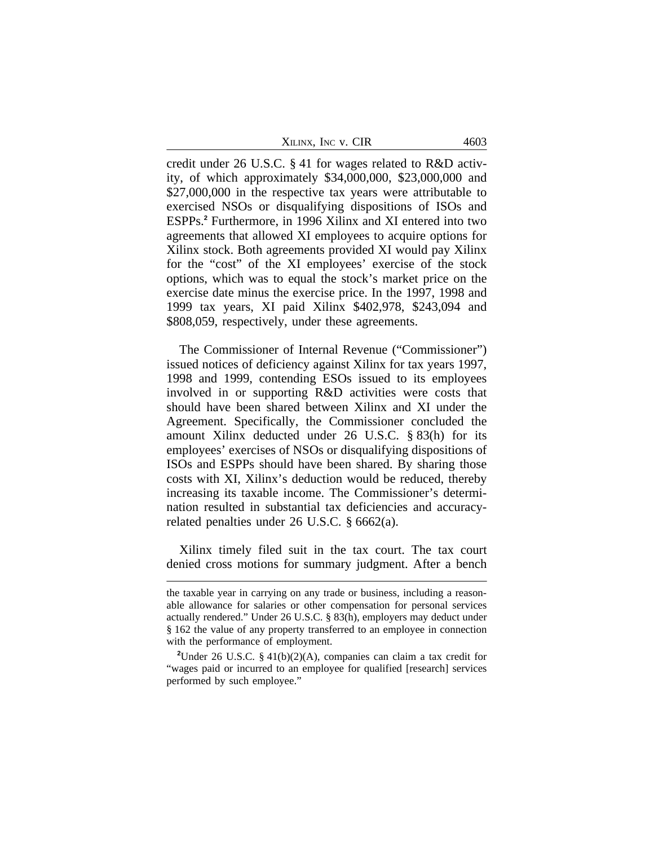| Xilinx, Inc v. CIR |  |
|--------------------|--|
|--------------------|--|

credit under 26 U.S.C. § 41 for wages related to R&D activity, of which approximately \$34,000,000, \$23,000,000 and \$27,000,000 in the respective tax years were attributable to exercised NSOs or disqualifying dispositions of ISOs and ESPPs.**<sup>2</sup>** Furthermore, in 1996 Xilinx and XI entered into two agreements that allowed XI employees to acquire options for Xilinx stock. Both agreements provided XI would pay Xilinx for the "cost" of the XI employees' exercise of the stock options, which was to equal the stock's market price on the exercise date minus the exercise price. In the 1997, 1998 and 1999 tax years, XI paid Xilinx \$402,978, \$243,094 and \$808,059, respectively, under these agreements.

The Commissioner of Internal Revenue ("Commissioner") issued notices of deficiency against Xilinx for tax years 1997, 1998 and 1999, contending ESOs issued to its employees involved in or supporting R&D activities were costs that should have been shared between Xilinx and XI under the Agreement. Specifically, the Commissioner concluded the amount Xilinx deducted under 26 U.S.C. § 83(h) for its employees' exercises of NSOs or disqualifying dispositions of ISOs and ESPPs should have been shared. By sharing those costs with XI, Xilinx's deduction would be reduced, thereby increasing its taxable income. The Commissioner's determination resulted in substantial tax deficiencies and accuracyrelated penalties under 26 U.S.C. § 6662(a).

Xilinx timely filed suit in the tax court. The tax court denied cross motions for summary judgment. After a bench

the taxable year in carrying on any trade or business, including a reasonable allowance for salaries or other compensation for personal services actually rendered." Under 26 U.S.C. § 83(h), employers may deduct under § 162 the value of any property transferred to an employee in connection with the performance of employment.

**<sup>2</sup>**Under 26 U.S.C. § 41(b)(2)(A), companies can claim a tax credit for "wages paid or incurred to an employee for qualified [research] services performed by such employee."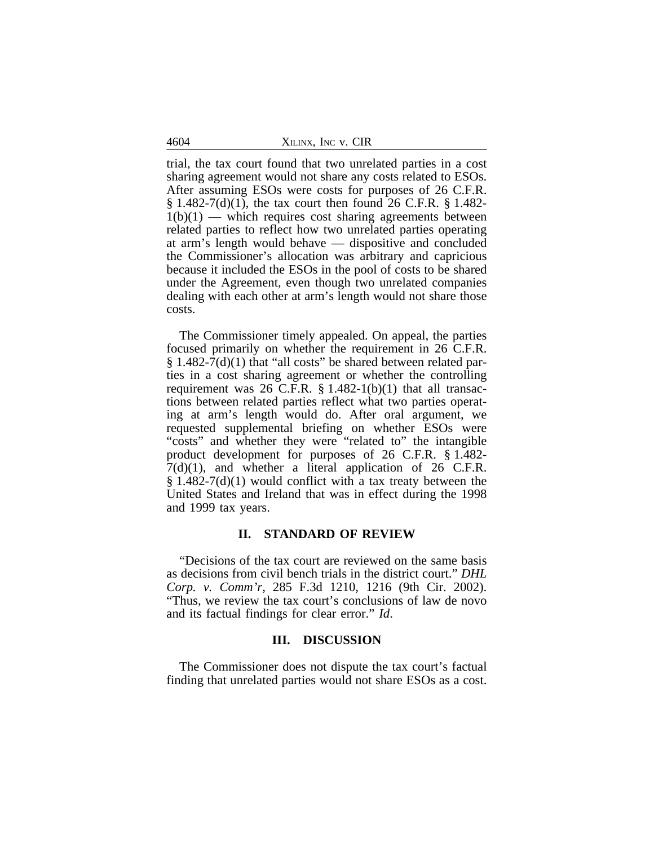4604 XILINX, INC v. CIR

trial, the tax court found that two unrelated parties in a cost sharing agreement would not share any costs related to ESOs. After assuming ESOs were costs for purposes of 26 C.F.R.  $\S 1.482 - 7(d)(1)$ , the tax court then found 26 C.F.R.  $\S 1.482 1(b)(1)$  — which requires cost sharing agreements between related parties to reflect how two unrelated parties operating at arm's length would behave — dispositive and concluded the Commissioner's allocation was arbitrary and capricious because it included the ESOs in the pool of costs to be shared under the Agreement, even though two unrelated companies dealing with each other at arm's length would not share those costs.

The Commissioner timely appealed. On appeal, the parties focused primarily on whether the requirement in 26 C.F.R.  $\S 1.482-7(d)(1)$  that "all costs" be shared between related parties in a cost sharing agreement or whether the controlling requirement was 26 C.F.R.  $\S$  1.482-1(b)(1) that all transactions between related parties reflect what two parties operating at arm's length would do. After oral argument, we requested supplemental briefing on whether ESOs were "costs" and whether they were "related to" the intangible product development for purposes of 26 C.F.R. § 1.482-  $7(d)(1)$ , and whether a literal application of 26 C.F.R.  $\S 1.482-7(d)(1)$  would conflict with a tax treaty between the United States and Ireland that was in effect during the 1998 and 1999 tax years.

## **II. STANDARD OF REVIEW**

"Decisions of the tax court are reviewed on the same basis as decisions from civil bench trials in the district court." *DHL Corp. v. Comm'r*, 285 F.3d 1210, 1216 (9th Cir. 2002). "Thus, we review the tax court's conclusions of law de novo and its factual findings for clear error." *Id*.

## **III. DISCUSSION**

The Commissioner does not dispute the tax court's factual finding that unrelated parties would not share ESOs as a cost.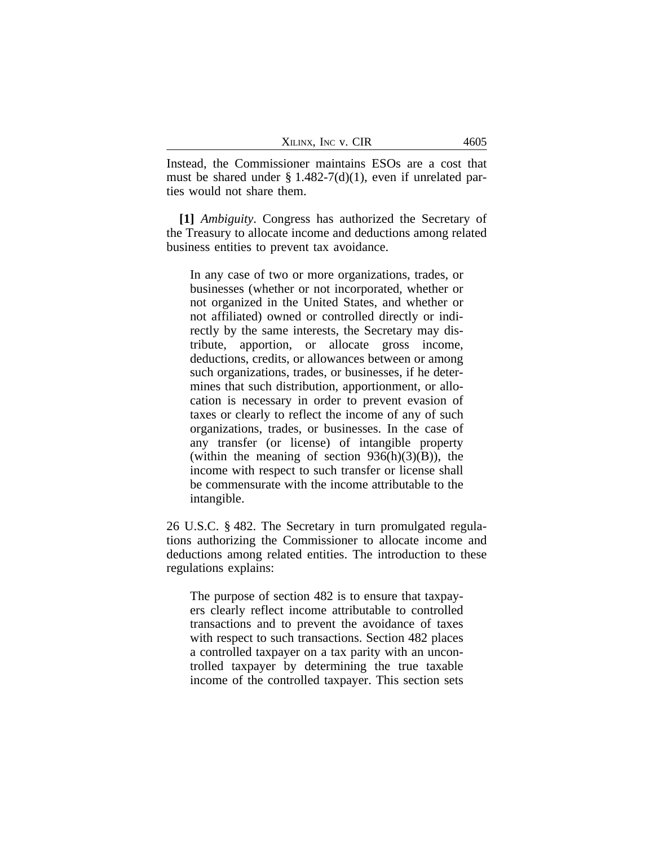| XILINX, INC V. CIR | 4605 |
|--------------------|------|
|--------------------|------|

Instead, the Commissioner maintains ESOs are a cost that must be shared under  $\S 1.482-7(d)(1)$ , even if unrelated parties would not share them.

**[1]** *Ambiguity*. Congress has authorized the Secretary of the Treasury to allocate income and deductions among related business entities to prevent tax avoidance.

In any case of two or more organizations, trades, or businesses (whether or not incorporated, whether or not organized in the United States, and whether or not affiliated) owned or controlled directly or indirectly by the same interests, the Secretary may distribute, apportion, or allocate gross income, deductions, credits, or allowances between or among such organizations, trades, or businesses, if he determines that such distribution, apportionment, or allocation is necessary in order to prevent evasion of taxes or clearly to reflect the income of any of such organizations, trades, or businesses. In the case of any transfer (or license) of intangible property (within the meaning of section  $936(h)(3)(B)$ ), the income with respect to such transfer or license shall be commensurate with the income attributable to the intangible.

26 U.S.C. § 482. The Secretary in turn promulgated regulations authorizing the Commissioner to allocate income and deductions among related entities. The introduction to these regulations explains:

The purpose of section 482 is to ensure that taxpayers clearly reflect income attributable to controlled transactions and to prevent the avoidance of taxes with respect to such transactions. Section 482 places a controlled taxpayer on a tax parity with an uncontrolled taxpayer by determining the true taxable income of the controlled taxpayer. This section sets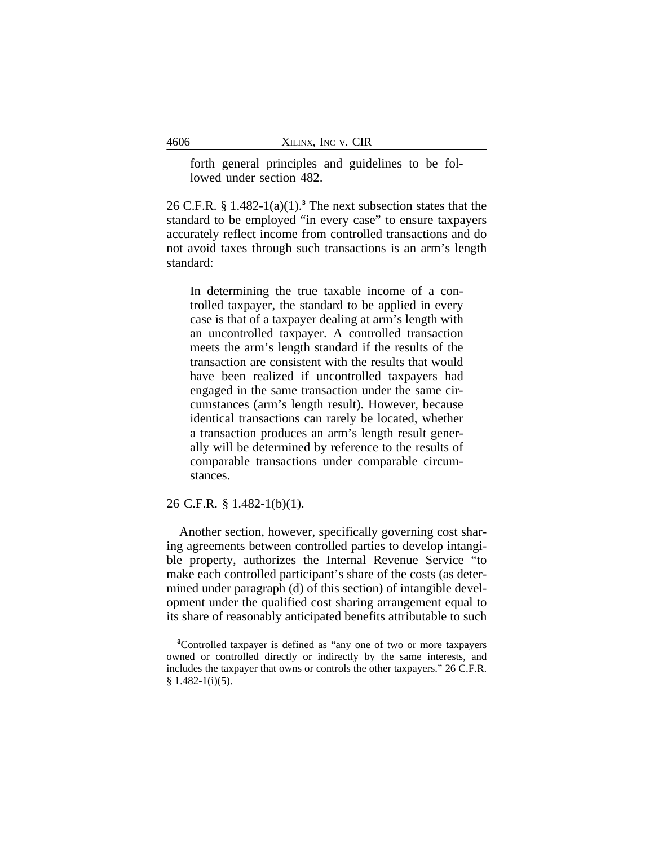forth general principles and guidelines to be followed under section 482.

26 C.F.R. § 1.482-1(a)(1).**<sup>3</sup>** The next subsection states that the standard to be employed "in every case" to ensure taxpayers accurately reflect income from controlled transactions and do not avoid taxes through such transactions is an arm's length standard:

In determining the true taxable income of a controlled taxpayer, the standard to be applied in every case is that of a taxpayer dealing at arm's length with an uncontrolled taxpayer. A controlled transaction meets the arm's length standard if the results of the transaction are consistent with the results that would have been realized if uncontrolled taxpayers had engaged in the same transaction under the same circumstances (arm's length result). However, because identical transactions can rarely be located, whether a transaction produces an arm's length result generally will be determined by reference to the results of comparable transactions under comparable circumstances.

## 26 C.F.R. § 1.482-1(b)(1).

Another section, however, specifically governing cost sharing agreements between controlled parties to develop intangible property, authorizes the Internal Revenue Service "to make each controlled participant's share of the costs (as determined under paragraph (d) of this section) of intangible development under the qualified cost sharing arrangement equal to its share of reasonably anticipated benefits attributable to such

**<sup>3</sup>**Controlled taxpayer is defined as "any one of two or more taxpayers owned or controlled directly or indirectly by the same interests, and includes the taxpayer that owns or controls the other taxpayers." 26 C.F.R. § 1.482-1(i)(5).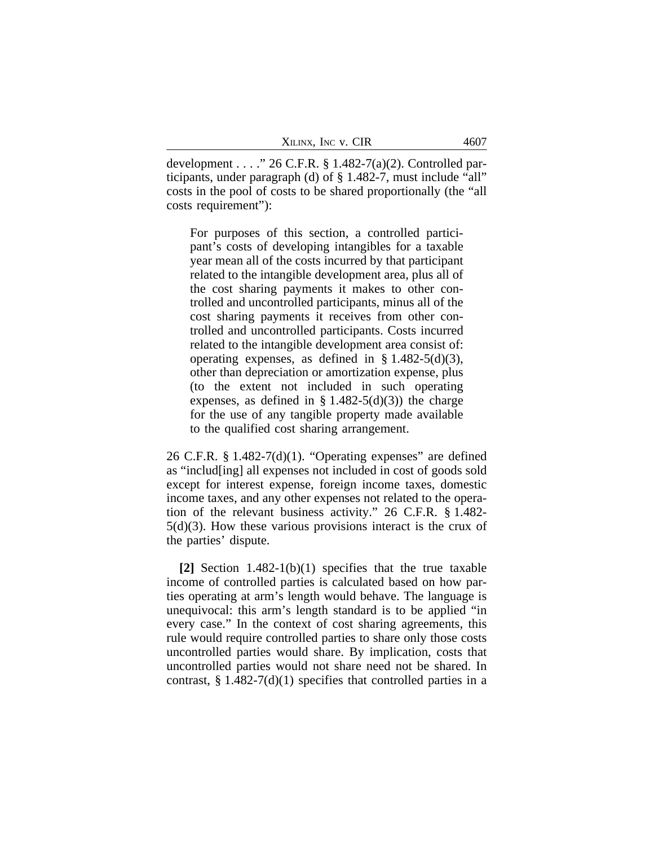| XILINX, INC V. CIR | 4607 |
|--------------------|------|
|--------------------|------|

development . . . ." 26 C.F.R. § 1.482-7(a)(2). Controlled participants, under paragraph (d) of § 1.482-7, must include "all" costs in the pool of costs to be shared proportionally (the "all costs requirement"):

For purposes of this section, a controlled participant's costs of developing intangibles for a taxable year mean all of the costs incurred by that participant related to the intangible development area, plus all of the cost sharing payments it makes to other controlled and uncontrolled participants, minus all of the cost sharing payments it receives from other controlled and uncontrolled participants. Costs incurred related to the intangible development area consist of: operating expenses, as defined in  $\S$  1.482-5(d)(3), other than depreciation or amortization expense, plus (to the extent not included in such operating expenses, as defined in  $\S 1.482-5(d)(3)$  the charge for the use of any tangible property made available to the qualified cost sharing arrangement.

26 C.F.R. § 1.482-7(d)(1). "Operating expenses" are defined as "includ[ing] all expenses not included in cost of goods sold except for interest expense, foreign income taxes, domestic income taxes, and any other expenses not related to the operation of the relevant business activity." 26 C.F.R. § 1.482- 5(d)(3). How these various provisions interact is the crux of the parties' dispute.

**[2]** Section 1.482-1(b)(1) specifies that the true taxable income of controlled parties is calculated based on how parties operating at arm's length would behave. The language is unequivocal: this arm's length standard is to be applied "in every case." In the context of cost sharing agreements, this rule would require controlled parties to share only those costs uncontrolled parties would share. By implication, costs that uncontrolled parties would not share need not be shared. In contrast,  $\S 1.482-7(d)(1)$  specifies that controlled parties in a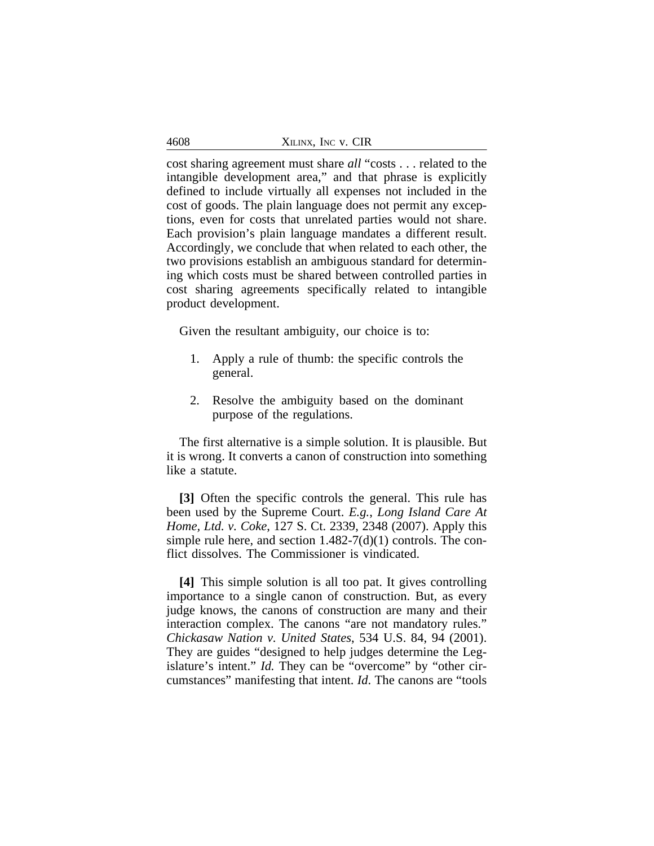| 4608 | XILINX, INC V. CIR |
|------|--------------------|
|------|--------------------|

cost sharing agreement must share *all* "costs . . . related to the intangible development area," and that phrase is explicitly defined to include virtually all expenses not included in the cost of goods. The plain language does not permit any exceptions, even for costs that unrelated parties would not share. Each provision's plain language mandates a different result. Accordingly, we conclude that when related to each other, the two provisions establish an ambiguous standard for determining which costs must be shared between controlled parties in cost sharing agreements specifically related to intangible product development.

Given the resultant ambiguity, our choice is to:

- 1. Apply a rule of thumb: the specific controls the general.
- 2. Resolve the ambiguity based on the dominant purpose of the regulations.

The first alternative is a simple solution. It is plausible. But it is wrong. It converts a canon of construction into something like a statute.

**[3]** Often the specific controls the general. This rule has been used by the Supreme Court. *E.g.*, *Long Island Care At Home, Ltd. v. Coke*, 127 S. Ct. 2339, 2348 (2007). Apply this simple rule here, and section  $1.482-7(d)(1)$  controls. The conflict dissolves. The Commissioner is vindicated.

**[4]** This simple solution is all too pat. It gives controlling importance to a single canon of construction. But, as every judge knows, the canons of construction are many and their interaction complex. The canons "are not mandatory rules." *Chickasaw Nation v. United States*, 534 U.S. 84, 94 (2001). They are guides "designed to help judges determine the Legislature's intent." *Id.* They can be "overcome" by "other circumstances" manifesting that intent. *Id*. The canons are "tools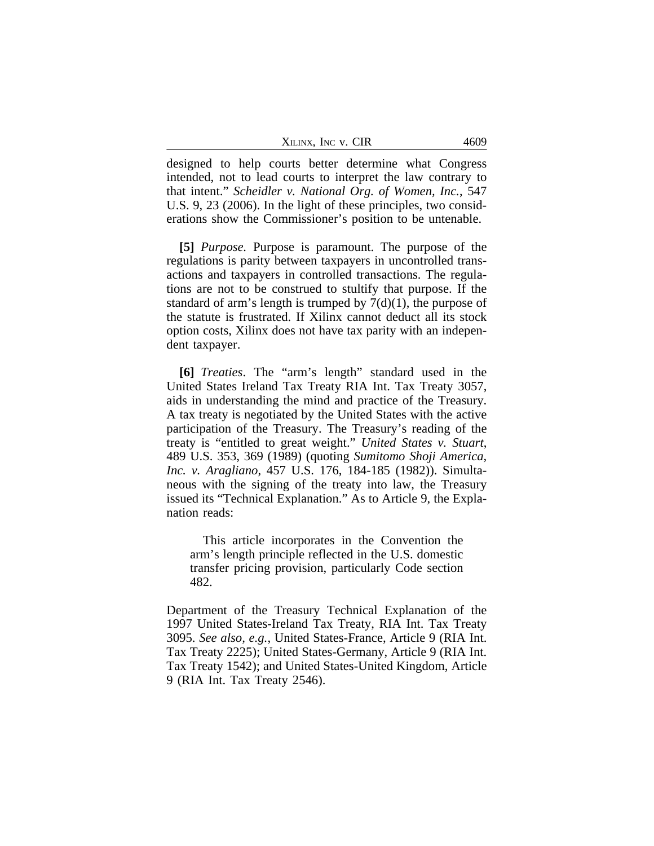| XILINX, INC V. CIR | 4609 |
|--------------------|------|
|--------------------|------|

designed to help courts better determine what Congress intended, not to lead courts to interpret the law contrary to that intent." *Scheidler v. National Org. of Women, Inc.*, 547 U.S. 9, 23 (2006). In the light of these principles, two considerations show the Commissioner's position to be untenable.

**[5]** *Purpose.* Purpose is paramount. The purpose of the regulations is parity between taxpayers in uncontrolled transactions and taxpayers in controlled transactions. The regulations are not to be construed to stultify that purpose. If the standard of arm's length is trumped by  $7(d)(1)$ , the purpose of the statute is frustrated. If Xilinx cannot deduct all its stock option costs, Xilinx does not have tax parity with an independent taxpayer.

**[6]** *Treaties*. The "arm's length" standard used in the United States Ireland Tax Treaty RIA Int. Tax Treaty 3057, aids in understanding the mind and practice of the Treasury. A tax treaty is negotiated by the United States with the active participation of the Treasury. The Treasury's reading of the treaty is "entitled to great weight." *United States v. Stuart*, 489 U.S. 353, 369 (1989) (quoting *Sumitomo Shoji America, Inc. v. Aragliano*, 457 U.S. 176, 184-185 (1982)). Simultaneous with the signing of the treaty into law, the Treasury issued its "Technical Explanation." As to Article 9, the Explanation reads:

This article incorporates in the Convention the arm's length principle reflected in the U.S. domestic transfer pricing provision, particularly Code section 482.

Department of the Treasury Technical Explanation of the 1997 United States-Ireland Tax Treaty, RIA Int. Tax Treaty 3095. *See also, e.g.*, United States-France, Article 9 (RIA Int. Tax Treaty 2225); United States-Germany, Article 9 (RIA Int. Tax Treaty 1542); and United States-United Kingdom, Article 9 (RIA Int. Tax Treaty 2546).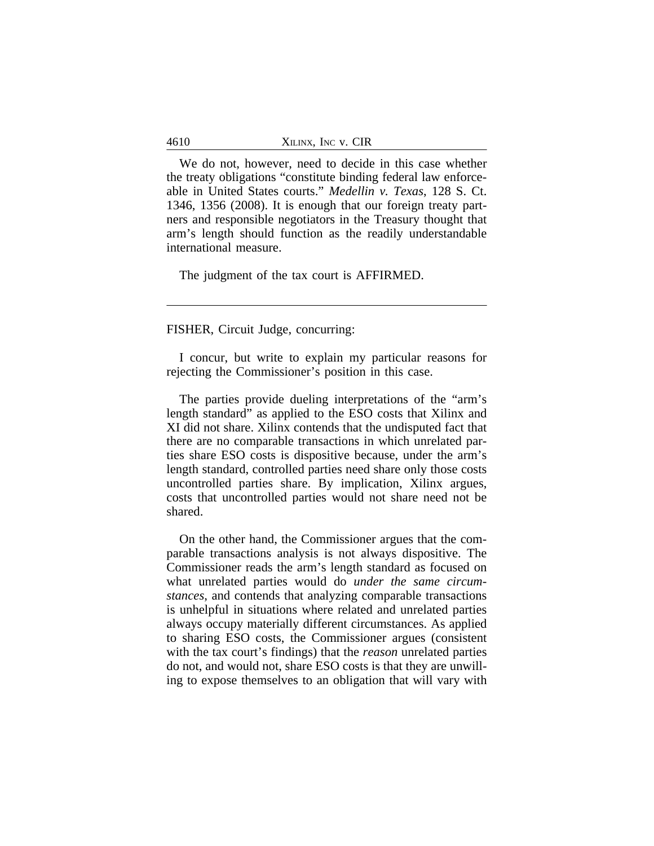| 4610 | XILINX, INC V. CIR |
|------|--------------------|
|------|--------------------|

We do not, however, need to decide in this case whether the treaty obligations "constitute binding federal law enforceable in United States courts." *Medellin v. Texas*, 128 S. Ct. 1346, 1356 (2008). It is enough that our foreign treaty partners and responsible negotiators in the Treasury thought that arm's length should function as the readily understandable international measure.

The judgment of the tax court is AFFIRMED.

FISHER, Circuit Judge, concurring:

I concur, but write to explain my particular reasons for rejecting the Commissioner's position in this case.

The parties provide dueling interpretations of the "arm's length standard" as applied to the ESO costs that Xilinx and XI did not share. Xilinx contends that the undisputed fact that there are no comparable transactions in which unrelated parties share ESO costs is dispositive because, under the arm's length standard, controlled parties need share only those costs uncontrolled parties share. By implication, Xilinx argues, costs that uncontrolled parties would not share need not be shared.

On the other hand, the Commissioner argues that the comparable transactions analysis is not always dispositive. The Commissioner reads the arm's length standard as focused on what unrelated parties would do *under the same circumstances*, and contends that analyzing comparable transactions is unhelpful in situations where related and unrelated parties always occupy materially different circumstances. As applied to sharing ESO costs, the Commissioner argues (consistent with the tax court's findings) that the *reason* unrelated parties do not, and would not, share ESO costs is that they are unwilling to expose themselves to an obligation that will vary with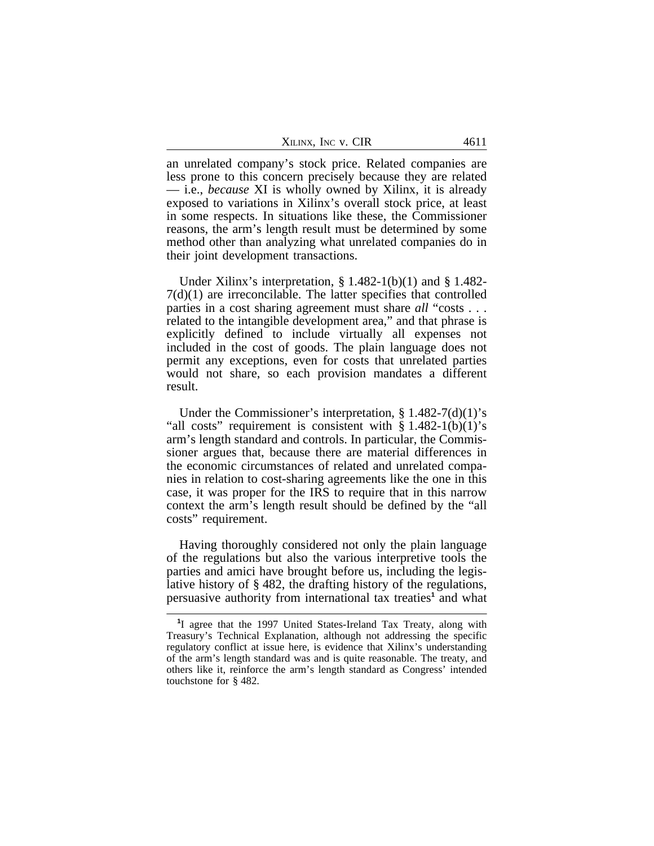| XILINX, INC V. CIR | 4611 |
|--------------------|------|
|--------------------|------|

an unrelated company's stock price. Related companies are less prone to this concern precisely because they are related — i.e., *because* XI is wholly owned by Xilinx, it is already exposed to variations in Xilinx's overall stock price, at least in some respects. In situations like these, the Commissioner reasons, the arm's length result must be determined by some method other than analyzing what unrelated companies do in their joint development transactions.

Under Xilinx's interpretation,  $\S 1.482-1(b)(1)$  and  $\S 1.482-1$ 7(d)(1) are irreconcilable. The latter specifies that controlled parties in a cost sharing agreement must share *all* "costs . . . related to the intangible development area," and that phrase is explicitly defined to include virtually all expenses not included in the cost of goods. The plain language does not permit any exceptions, even for costs that unrelated parties would not share, so each provision mandates a different result.

Under the Commissioner's interpretation, § 1.482-7(d)(1)'s "all costs" requirement is consistent with  $\S 1.482-1(b)(1)$ 's arm's length standard and controls. In particular, the Commissioner argues that, because there are material differences in the economic circumstances of related and unrelated companies in relation to cost-sharing agreements like the one in this case, it was proper for the IRS to require that in this narrow context the arm's length result should be defined by the "all costs" requirement.

Having thoroughly considered not only the plain language of the regulations but also the various interpretive tools the parties and amici have brought before us, including the legislative history of § 482, the drafting history of the regulations, persuasive authority from international tax treaties<sup>1</sup> and what

**<sup>1</sup>** I agree that the 1997 United States-Ireland Tax Treaty, along with Treasury's Technical Explanation, although not addressing the specific regulatory conflict at issue here, is evidence that Xilinx's understanding of the arm's length standard was and is quite reasonable. The treaty, and others like it, reinforce the arm's length standard as Congress' intended touchstone for § 482.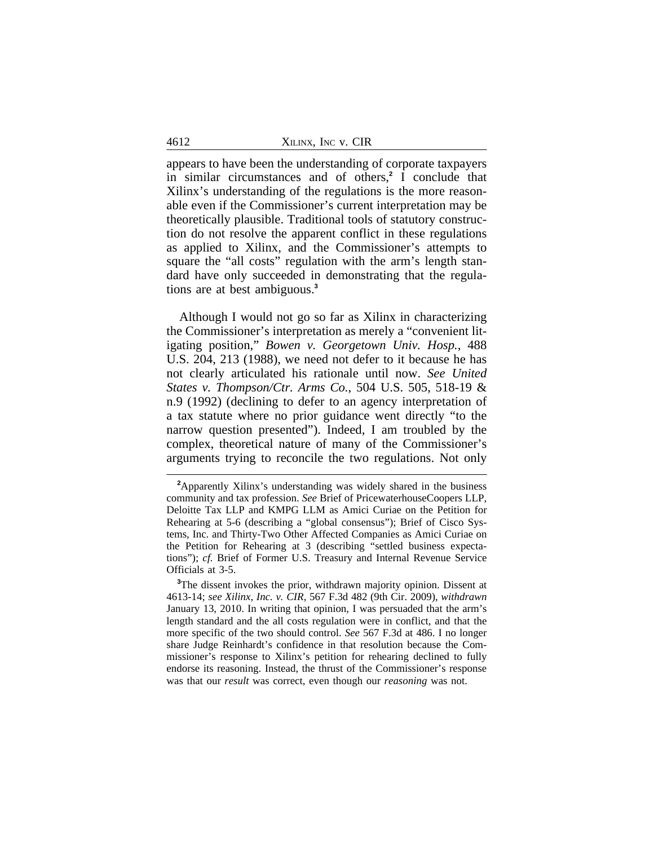appears to have been the understanding of corporate taxpayers in similar circumstances and of others,**<sup>2</sup>** I conclude that Xilinx's understanding of the regulations is the more reasonable even if the Commissioner's current interpretation may be theoretically plausible. Traditional tools of statutory construction do not resolve the apparent conflict in these regulations as applied to Xilinx, and the Commissioner's attempts to square the "all costs" regulation with the arm's length standard have only succeeded in demonstrating that the regulations are at best ambiguous.**<sup>3</sup>**

Although I would not go so far as Xilinx in characterizing the Commissioner's interpretation as merely a "convenient litigating position," *Bowen v. Georgetown Univ. Hosp.*, 488 U.S. 204, 213 (1988), we need not defer to it because he has not clearly articulated his rationale until now. *See United States v. Thompson/Ctr. Arms Co.*, 504 U.S. 505, 518-19 & n.9 (1992) (declining to defer to an agency interpretation of a tax statute where no prior guidance went directly "to the narrow question presented"). Indeed, I am troubled by the complex, theoretical nature of many of the Commissioner's arguments trying to reconcile the two regulations. Not only

**<sup>2</sup>**Apparently Xilinx's understanding was widely shared in the business community and tax profession. *See* Brief of PricewaterhouseCoopers LLP, Deloitte Tax LLP and KMPG LLM as Amici Curiae on the Petition for Rehearing at 5-6 (describing a "global consensus"); Brief of Cisco Systems, Inc. and Thirty-Two Other Affected Companies as Amici Curiae on the Petition for Rehearing at 3 (describing "settled business expectations"); *cf.* Brief of Former U.S. Treasury and Internal Revenue Service Officials at 3-5.

**<sup>3</sup>**The dissent invokes the prior, withdrawn majority opinion. Dissent at 4613-14; *see Xilinx, Inc. v. CIR*, 567 F.3d 482 (9th Cir. 2009), *withdrawn* January 13, 2010. In writing that opinion, I was persuaded that the arm's length standard and the all costs regulation were in conflict, and that the more specific of the two should control. *See* 567 F.3d at 486. I no longer share Judge Reinhardt's confidence in that resolution because the Commissioner's response to Xilinx's petition for rehearing declined to fully endorse its reasoning. Instead, the thrust of the Commissioner's response was that our *result* was correct, even though our *reasoning* was not.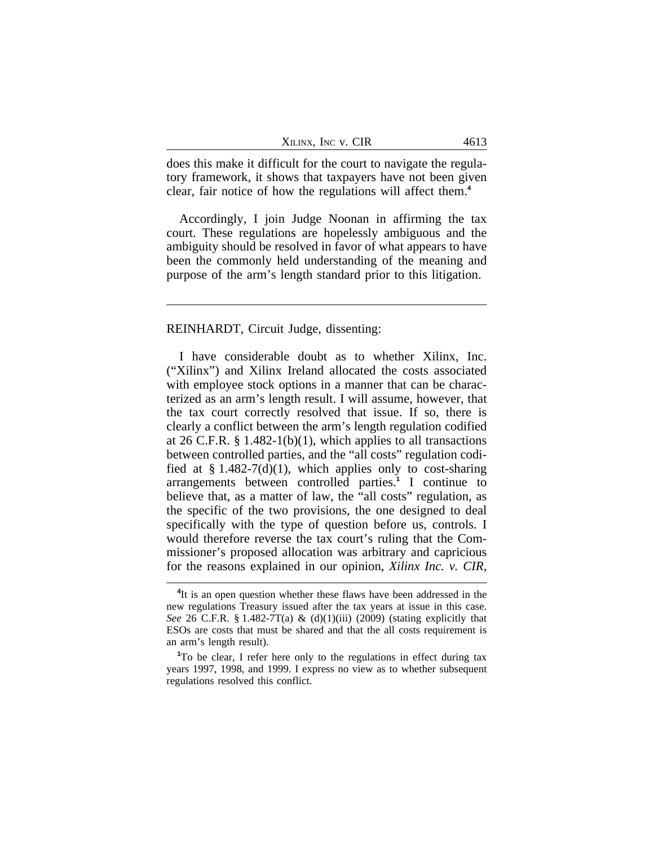| XILINX, INC V. CIR | 4613 |
|--------------------|------|
|--------------------|------|

does this make it difficult for the court to navigate the regulatory framework, it shows that taxpayers have not been given clear, fair notice of how the regulations will affect them.**<sup>4</sup>**

Accordingly, I join Judge Noonan in affirming the tax court. These regulations are hopelessly ambiguous and the ambiguity should be resolved in favor of what appears to have been the commonly held understanding of the meaning and purpose of the arm's length standard prior to this litigation.

#### REINHARDT, Circuit Judge, dissenting:

I have considerable doubt as to whether Xilinx, Inc. ("Xilinx") and Xilinx Ireland allocated the costs associated with employee stock options in a manner that can be characterized as an arm's length result. I will assume, however, that the tax court correctly resolved that issue. If so, there is clearly a conflict between the arm's length regulation codified at 26 C.F.R.  $\S 1.482-1(b)(1)$ , which applies to all transactions between controlled parties, and the "all costs" regulation codified at  $\S 1.482-7(d)(1)$ , which applies only to cost-sharing arrangements between controlled parties.**<sup>1</sup>** I continue to believe that, as a matter of law, the "all costs" regulation, as the specific of the two provisions, the one designed to deal specifically with the type of question before us, controls. I would therefore reverse the tax court's ruling that the Commissioner's proposed allocation was arbitrary and capricious for the reasons explained in our opinion, *Xilinx Inc. v. CIR*,

<sup>&</sup>lt;sup>4</sup>It is an open question whether these flaws have been addressed in the new regulations Treasury issued after the tax years at issue in this case. *See* 26 C.F.R. § 1.482-7T(a) & (d)(1)(iii) (2009) (stating explicitly that ESOs are costs that must be shared and that the all costs requirement is an arm's length result).

**<sup>1</sup>**To be clear, I refer here only to the regulations in effect during tax years 1997, 1998, and 1999. I express no view as to whether subsequent regulations resolved this conflict.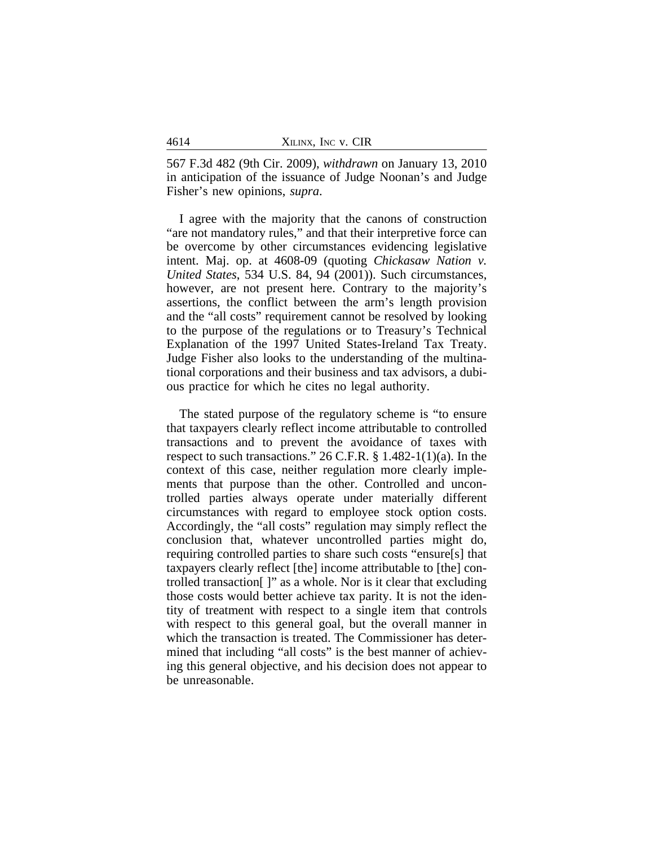567 F.3d 482 (9th Cir. 2009), *withdrawn* on January 13, 2010 in anticipation of the issuance of Judge Noonan's and Judge Fisher's new opinions, *supra*.

I agree with the majority that the canons of construction "are not mandatory rules," and that their interpretive force can be overcome by other circumstances evidencing legislative intent. Maj. op. at 4608-09 (quoting *Chickasaw Nation v. United States*, 534 U.S. 84, 94 (2001)). Such circumstances, however, are not present here. Contrary to the majority's assertions, the conflict between the arm's length provision and the "all costs" requirement cannot be resolved by looking to the purpose of the regulations or to Treasury's Technical Explanation of the 1997 United States-Ireland Tax Treaty. Judge Fisher also looks to the understanding of the multinational corporations and their business and tax advisors, a dubious practice for which he cites no legal authority.

The stated purpose of the regulatory scheme is "to ensure that taxpayers clearly reflect income attributable to controlled transactions and to prevent the avoidance of taxes with respect to such transactions." 26 C.F.R. § 1.482-1(1)(a). In the context of this case, neither regulation more clearly implements that purpose than the other. Controlled and uncontrolled parties always operate under materially different circumstances with regard to employee stock option costs. Accordingly, the "all costs" regulation may simply reflect the conclusion that, whatever uncontrolled parties might do, requiring controlled parties to share such costs "ensure[s] that taxpayers clearly reflect [the] income attributable to [the] controlled transaction[ ]" as a whole. Nor is it clear that excluding those costs would better achieve tax parity. It is not the identity of treatment with respect to a single item that controls with respect to this general goal, but the overall manner in which the transaction is treated. The Commissioner has determined that including "all costs" is the best manner of achieving this general objective, and his decision does not appear to be unreasonable.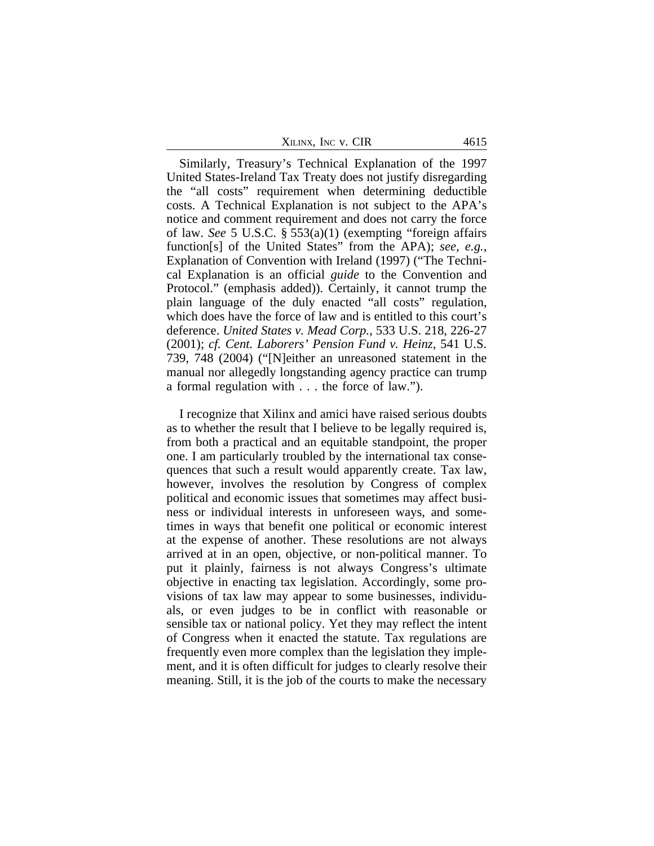|  | Xilinx, Inc v. CIR |  |  |  |
|--|--------------------|--|--|--|
|--|--------------------|--|--|--|

Similarly, Treasury's Technical Explanation of the 1997 United States-Ireland Tax Treaty does not justify disregarding the "all costs" requirement when determining deductible costs. A Technical Explanation is not subject to the APA's notice and comment requirement and does not carry the force of law. *See* 5 U.S.C. § 553(a)(1) (exempting "foreign affairs function[s] of the United States" from the APA); *see, e.g.*, Explanation of Convention with Ireland (1997) ("The Technical Explanation is an official *guide* to the Convention and Protocol." (emphasis added)). Certainly, it cannot trump the plain language of the duly enacted "all costs" regulation, which does have the force of law and is entitled to this court's deference. *United States v. Mead Corp.*, 533 U.S. 218, 226-27 (2001); *cf. Cent. Laborers' Pension Fund v. Heinz*, 541 U.S. 739, 748 (2004) ("[N]either an unreasoned statement in the manual nor allegedly longstanding agency practice can trump a formal regulation with . . . the force of law.").

I recognize that Xilinx and amici have raised serious doubts as to whether the result that I believe to be legally required is, from both a practical and an equitable standpoint, the proper one. I am particularly troubled by the international tax consequences that such a result would apparently create. Tax law, however, involves the resolution by Congress of complex political and economic issues that sometimes may affect business or individual interests in unforeseen ways, and sometimes in ways that benefit one political or economic interest at the expense of another. These resolutions are not always arrived at in an open, objective, or non-political manner. To put it plainly, fairness is not always Congress's ultimate objective in enacting tax legislation. Accordingly, some provisions of tax law may appear to some businesses, individuals, or even judges to be in conflict with reasonable or sensible tax or national policy. Yet they may reflect the intent of Congress when it enacted the statute. Tax regulations are frequently even more complex than the legislation they implement, and it is often difficult for judges to clearly resolve their meaning. Still, it is the job of the courts to make the necessary